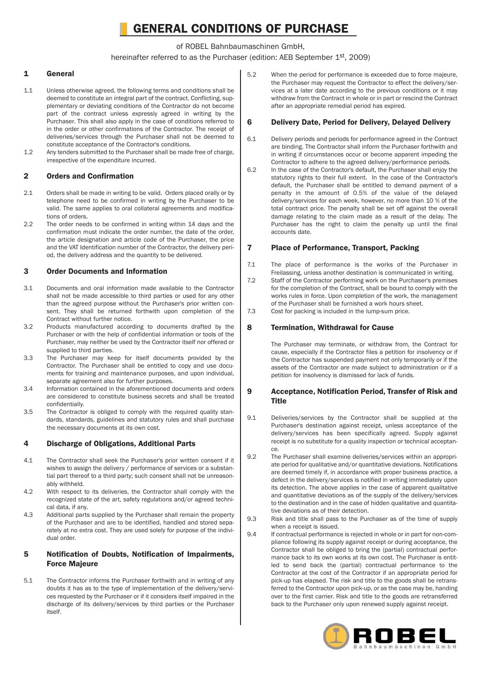# GENERAL CONDITIONS OF PURCHASE

## of ROBEL Bahnbaumaschinen GmbH,

hereinafter referred to as the Purchaser (edition: AEB September 1st, 2009)

## 1 General

- 1.1 Unless otherwise agreed, the following terms and conditions shall be deemed to constitute an integral part of the contract. Conflicting, supplementary or deviating conditions of the Contractor do not become part of the contract unless expressly agreed in writing by the Purchaser. This shall also apply in the case of conditions referred to in the order or other confirmations of the Contractor. The receipt of deliveries/services through the Purchaser shall not be deemed to constitute acceptance of the Contractor's conditions.
- 1.2 Any tenders submitted to the Purchaser shall be made free of charge, irrespective of the expenditure incurred.

## 2 Orders and Confirmation

- $2.1$ Orders shall be made in writing to be valid. Orders placed orally or by telephone need to be confirmed in writing by the Purchaser to be valid. The same applies to oral collateral agreements and modifications of orders.
- 2.2 The order needs to be confirmed in writing within 14 days and the confirmation must indicate the order number, the date of the order, the article designation and article code of the Purchaser, the price and the VAT Identification number of the Contractor, the delivery period, the delivery address and the quantity to be delivered.

## 3 Order Documents and Information

- 3.1 Documents and oral information made available to the Contractor shall not be made accessible to third parties or used for any other than the agreed purpose without the Purchaser's prior written consent. They shall be returned forthwith upon completion of the Contract without further notice.
- $3.2$ Products manufactured according to documents drafted by the Purchaser or with the help of confidential information or tools of the Purchaser, may neither be used by the Contractor itself nor offered or supplied to third parties.
- 3.3 The Purchaser may keep for itself documents provided by the Contractor. The Purchaser shall be entitled to copy and use documents for training and maintenance purposes, and upon individual, separate agreement also for further purposes.
- 3.4 Information contained in the aforementioned documents and orders are considered to constitute business secrets and shall be treated confidentially.
- 3.5 The Contractor is obliged to comply with the required quality standards, standards, guidelines and statutory rules and shall purchase the necessary documents at its own cost.

## 4 Discharge of Obligations, Additional Parts

- 4.1 The Contractor shall seek the Purchaser's prior written consent if it wishes to assign the delivery / performance of services or a substantial part thereof to a third party; such consent shall not be unreasonably withheld.
- 4.2 With respect to its deliveries, the Contractor shall comply with the recognized state of the art, safety regulations and/or agreed technical data, if any.
- 4.3 Additional parts supplied by the Purchaser shall remain the property of the Purchaser and are to be identified, handled and stored separately at no extra cost. They are used solely for purpose of the individual order.

## 5 Notification of Doubts, Notification of Impairments, Force Majeure

5.1 The Contractor informs the Purchaser forthwith and in writing of any doubts it has as to the type of implementation of the delivery/services requested by the Purchaser or if it considers itself impaired in the discharge of its delivery/services by third parties or the Purchaser itself.

5.2 When the period for performance is exceeded due to force majeure, the Purchaser may request the Contractor to effect the delivery/services at a later date according to the previous conditions or it may withdraw from the Contract in whole or in part or rescind the Contract after an appropriate remedial period has expired.

## 6 Delivery Date, Period for Delivery, Delayed Delivery

- 6.1 Delivery periods and periods for performance agreed in the Contract are binding. The Contractor shall inform the Purchaser forthwith and in writing if circumstances occur or become apparent impeding the Contractor to adhere to the agreed delivery/performance periods.
- 6.2 In the case of the Contractor's default, the Purchaser shall enjoy the statutory rights to their full extent. In the case of the Contractor's default, the Purchaser shall be entitled to demand payment of a penalty in the amount of 0.5% of the value of the delayed delivery/services for each week, however, no more than 10 % of the total contract price. The penalty shall be set off against the overall damage relating to the claim made as a result of the delay. The Purchaser has the right to claim the penalty up until the final accounts date.

## 7 Place of Performance, Transport, Packing

- 7.1 The place of performance is the works of the Purchaser in Freilassing, unless another destination is communicated in writing.
- 7.2 Staff of the Contractor performing work on the Purchaser's premises for the completion of the Contract, shall be bound to comply with the works rules in force. Upon completion of the work, the management of the Purchaser shall be furnished a work hours sheet.
- 7.3 Cost for packing is included in the lump-sum price.

## 8 Termination, Withdrawal for Cause

The Purchaser may terminate, or withdraw from, the Contract for cause, especially if the Contractor files a petition for insolvency or if the Contractor has suspended payment not only temporarily or if the assets of the Contractor are made subject to administration or if a petition for insolvency is dismissed for lack of funds.

## 9 Acceptance, Notification Period, Transfer of Risk and Title

- 9.1 Deliveries/services by the Contractor shall be supplied at the Purchaser's destination against receipt, unless acceptance of the delivery/services has been specifically agreed. Supply against receipt is no substitute for a quality inspection or technical acceptance.
- $9.2$ The Purchaser shall examine deliveries/services within an appropriate period for qualitative and/or quantitative deviations. Notifications are deemed timely if, in accordance with proper business practice, a defect in the delivery/services is notified in writing immediately upon its detection. The above applies in the case of apparent qualitative and quantitative deviations as of the supply of the delivery/services to the destination and in the case of hidden qualitative and quantitative deviations as of their detection.
- 9.3 Risk and title shall pass to the Purchaser as of the time of supply when a receipt is issued.
- 9.4 If contractual performance is rejected in whole or in part for non-compliance following its supply against receipt or during acceptance, the Contractor shall be obliged to bring the (partial) contractual performance back to its own works at its own cost. The Purchaser is entitled to send back the (partial) contractual performance to the Contractor at the cost of the Contractor if an appropriate period for pick-up has elapsed. The risk and title to the goods shall be retransferred to the Contractor upon pick-up, or as the case may be, handing over to the first carrier. Risk and title to the goods are retransferred back to the Purchaser only upon renewed supply against receipt.